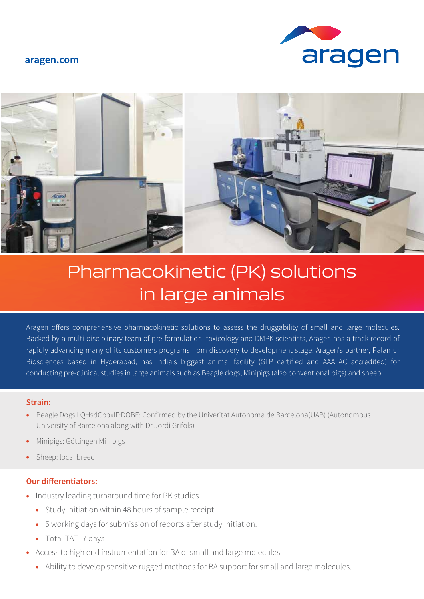### **aragen.com**





# Pharmacokinetic (PK) solutions in large animals

Aragen offers comprehensive pharmacokinetic solutions to assess the druggability of small and large molecules. Backed by a multi-disciplinary team of pre-formulation, toxicology and DMPK scientists, Aragen has a track record of rapidly advancing many of its customers programs from discovery to development stage. Aragen's partner, Palamur Biosciences based in Hyderabad, has India's biggest animal facility (GLP certified and AAALAC accredited) for conducting pre-clinical studies in large animals such as Beagle dogs, Minipigs (also conventional pigs) and sheep.

#### **Strain:**

- Beagle Dogs I QHsdCpbxIF:DOBE: Confirmed by the Univeritat Autonoma de Barcelona(UAB) (Autonomous University of Barcelona along with Dr Jordi Grifols)
- Minipigs: Göttingen Minipigs
- Sheep: local breed

## **Our differentiators:**

- Industry leading turnaround time for PK studies
	- Study initiation within 48 hours of sample receipt.
	- 5 working days for submission of reports after study initiation.
	- Total TAT -7 days
	- Access to high end instrumentation for BA of small and large molecules
		- Ability to develop sensitive rugged methods for BA support for small and large molecules.